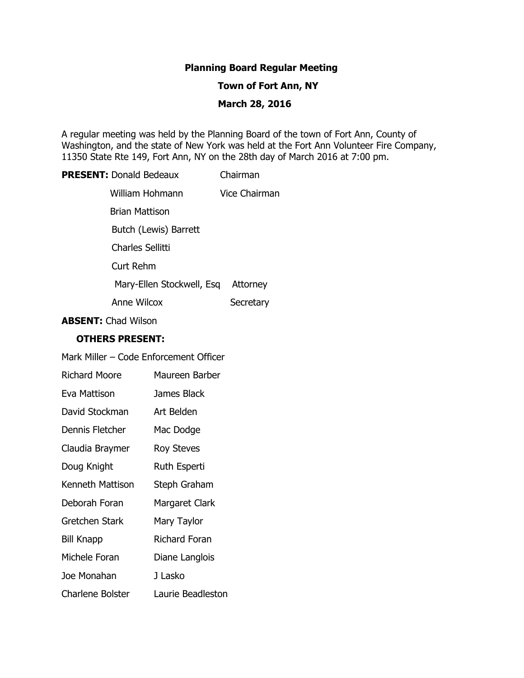# **Planning Board Regular Meeting**

# **Town of Fort Ann, NY**

# **March 28, 2016**

A regular meeting was held by the Planning Board of the town of Fort Ann, County of Washington, and the state of New York was held at the Fort Ann Volunteer Fire Company, 11350 State Rte 149, Fort Ann, NY on the 28th day of March 2016 at 7:00 pm.

# **PRESENT:** Donald Bedeaux Chairman

| William Hohmann           | Vice Chairman |
|---------------------------|---------------|
| Brian Mattison            |               |
| Butch (Lewis) Barrett     |               |
| Charles Sellitti          |               |
| Curt Rehm                 |               |
| Mary-Ellen Stockwell, Esq | Attorney      |
| <b>Anne Wilcox</b>        | Secretary     |

**ABSENT:** Chad Wilson

## **OTHERS PRESENT:**

| Mark Miller – Code Enforcement Officer |                   |  |
|----------------------------------------|-------------------|--|
| Richard Moore                          | Maureen Barber    |  |
| Eva Mattison                           | James Black       |  |
| David Stockman                         | Art Belden        |  |
| Dennis Fletcher                        | Mac Dodge         |  |
| Claudia Braymer                        | Roy Steves        |  |
| Doug Knight                            | Ruth Esperti      |  |
| Kenneth Mattison                       | Steph Graham      |  |
| Deborah Foran                          | Margaret Clark    |  |
| Gretchen Stark                         | Mary Taylor       |  |
| Bill Knapp                             | Richard Foran     |  |
| Michele Foran                          | Diane Langlois    |  |
| Joe Monahan                            | J Lasko           |  |
| Charlene Bolster                       | Laurie Beadleston |  |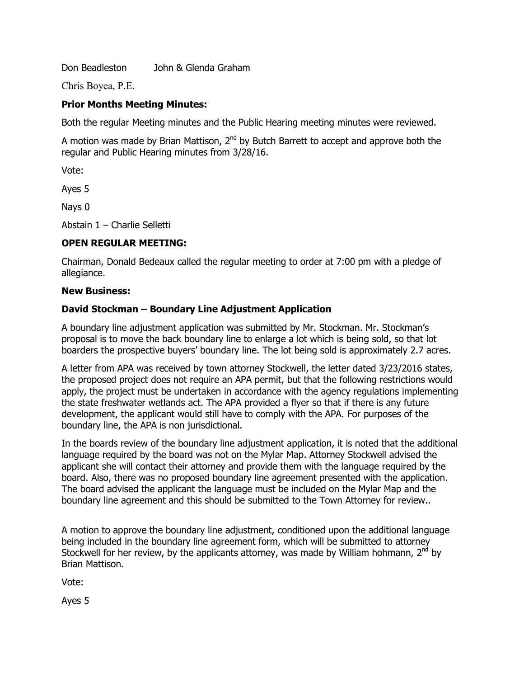Don Beadleston John & Glenda Graham

Chris Boyea, P.E.

## **Prior Months Meeting Minutes:**

Both the regular Meeting minutes and the Public Hearing meeting minutes were reviewed.

A motion was made by Brian Mattison, 2<sup>nd</sup> by Butch Barrett to accept and approve both the regular and Public Hearing minutes from 3/28/16.

Vote:

Ayes 5

Nays 0

Abstain 1 – Charlie Selletti

# **OPEN REGULAR MEETING:**

Chairman, Donald Bedeaux called the regular meeting to order at 7:00 pm with a pledge of allegiance.

#### **New Business:**

## **David Stockman – Boundary Line Adjustment Application**

A boundary line adjustment application was submitted by Mr. Stockman. Mr. Stockman's proposal is to move the back boundary line to enlarge a lot which is being sold, so that lot boarders the prospective buyers' boundary line. The lot being sold is approximately 2.7 acres.

A letter from APA was received by town attorney Stockwell, the letter dated 3/23/2016 states, the proposed project does not require an APA permit, but that the following restrictions would apply, the project must be undertaken in accordance with the agency regulations implementing the state freshwater wetlands act. The APA provided a flyer so that if there is any future development, the applicant would still have to comply with the APA. For purposes of the boundary line, the APA is non jurisdictional.

In the boards review of the boundary line adjustment application, it is noted that the additional language required by the board was not on the Mylar Map. Attorney Stockwell advised the applicant she will contact their attorney and provide them with the language required by the board. Also, there was no proposed boundary line agreement presented with the application. The board advised the applicant the language must be included on the Mylar Map and the boundary line agreement and this should be submitted to the Town Attorney for review..

A motion to approve the boundary line adjustment, conditioned upon the additional language being included in the boundary line agreement form, which will be submitted to attorney Stockwell for her review, by the applicants attorney, was made by William hohmann,  $2^{nd}$  by Brian Mattison.

Vote:

Ayes 5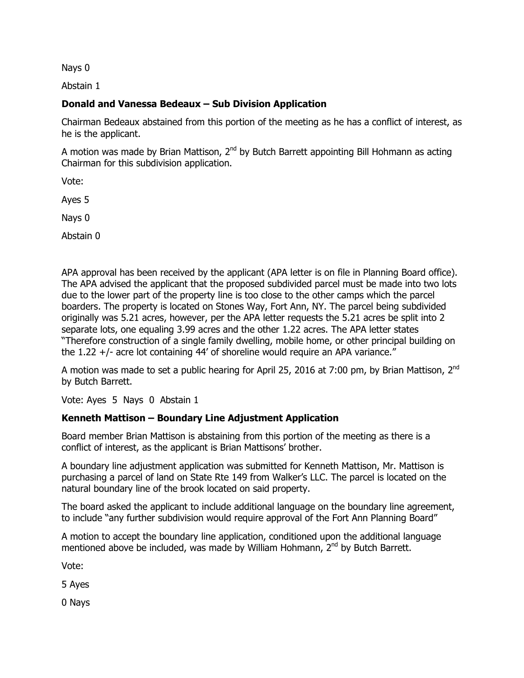Nays 0

Abstain 1

# **Donald and Vanessa Bedeaux – Sub Division Application**

Chairman Bedeaux abstained from this portion of the meeting as he has a conflict of interest, as he is the applicant.

A motion was made by Brian Mattison, 2<sup>nd</sup> by Butch Barrett appointing Bill Hohmann as acting Chairman for this subdivision application.

Vote:

Ayes 5

Nays 0

Abstain 0

APA approval has been received by the applicant (APA letter is on file in Planning Board office). The APA advised the applicant that the proposed subdivided parcel must be made into two lots due to the lower part of the property line is too close to the other camps which the parcel boarders. The property is located on Stones Way, Fort Ann, NY. The parcel being subdivided originally was 5.21 acres, however, per the APA letter requests the 5.21 acres be split into 2 separate lots, one equaling 3.99 acres and the other 1.22 acres. The APA letter states "Therefore construction of a single family dwelling, mobile home, or other principal building on the 1.22 +/- acre lot containing 44' of shoreline would require an APA variance."

A motion was made to set a public hearing for April 25, 2016 at 7:00 pm, by Brian Mattison, 2<sup>nd</sup> by Butch Barrett.

Vote: Ayes 5 Nays 0 Abstain 1

# **Kenneth Mattison – Boundary Line Adjustment Application**

Board member Brian Mattison is abstaining from this portion of the meeting as there is a conflict of interest, as the applicant is Brian Mattisons' brother.

A boundary line adjustment application was submitted for Kenneth Mattison, Mr. Mattison is purchasing a parcel of land on State Rte 149 from Walker's LLC. The parcel is located on the natural boundary line of the brook located on said property.

The board asked the applicant to include additional language on the boundary line agreement, to include "any further subdivision would require approval of the Fort Ann Planning Board"

A motion to accept the boundary line application, conditioned upon the additional language mentioned above be included, was made by William Hohmann,  $2^{nd}$  by Butch Barrett.

Vote:

5 Ayes

0 Nays